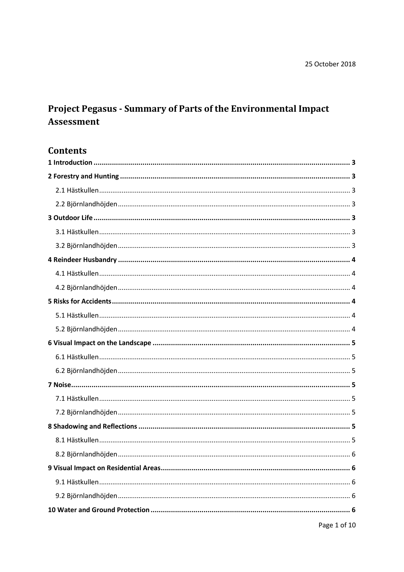# Project Pegasus - Summary of Parts of the Environmental Impact Assessment

## **Contents**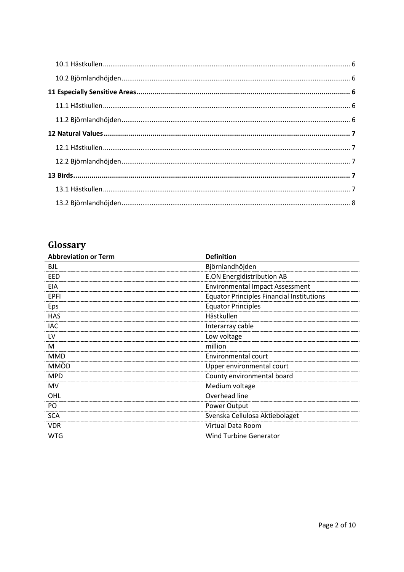# **Glossary**

| <b>Abbreviation or Term</b> | <b>Definition</b>                                |
|-----------------------------|--------------------------------------------------|
| <b>BJL</b>                  | Björnlandhöjden                                  |
| EED                         | <b>E.ON Energidistribution AB</b>                |
| EIA                         | <b>Environmental Impact Assessment</b>           |
| EPFI                        | <b>Equator Principles Financial Institutions</b> |
| Eps                         | <b>Equator Principles</b>                        |
| <b>HAS</b>                  | Hästkullen                                       |
| <b>IAC</b>                  | Interarray cable                                 |
| LV                          | Low voltage                                      |
| M                           | million                                          |
| <b>MMD</b>                  | Environmental court                              |
| <b>MMÖD</b>                 | Upper environmental court                        |
| <b>MPD</b>                  | County environmental board                       |
| MV                          | Medium voltage                                   |
| OHL                         | Overhead line                                    |
| PO                          | Power Output                                     |
| <b>SCA</b>                  | Svenska Cellulosa Aktiebolaget                   |
| <b>VDR</b>                  | Virtual Data Room                                |
| <b>WTG</b>                  | <b>Wind Turbine Generator</b>                    |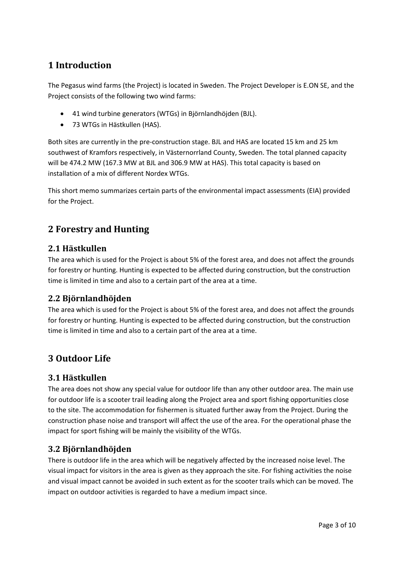## <span id="page-2-0"></span>**1 Introduction**

The Pegasus wind farms (the Project) is located in Sweden. The Project Developer is E.ON SE, and the Project consists of the following two wind farms:

- 41 wind turbine generators (WTGs) in Björnlandhöjden (BJL).
- 73 WTGs in Hästkullen (HAS).

Both sites are currently in the pre-construction stage. BJL and HAS are located 15 km and 25 km southwest of Kramfors respectively, in Västernorrland County, Sweden. The total planned capacity will be 474.2 MW (167.3 MW at BJL and 306.9 MW at HAS). This total capacity is based on installation of a mix of different Nordex WTGs.

This short memo summarizes certain parts of the environmental impact assessments (EIA) provided for the Project.

## <span id="page-2-1"></span>**2 Forestry and Hunting**

#### <span id="page-2-2"></span>**2.1 Hästkullen**

The area which is used for the Project is about 5% of the forest area, and does not affect the grounds for forestry or hunting. Hunting is expected to be affected during construction, but the construction time is limited in time and also to a certain part of the area at a time.

#### <span id="page-2-3"></span>**2.2 Björnlandhöjden**

The area which is used for the Project is about 5% of the forest area, and does not affect the grounds for forestry or hunting. Hunting is expected to be affected during construction, but the construction time is limited in time and also to a certain part of the area at a time.

## <span id="page-2-4"></span>**3 Outdoor Life**

### <span id="page-2-5"></span>**3.1 Hästkullen**

The area does not show any special value for outdoor life than any other outdoor area. The main use for outdoor life is a scooter trail leading along the Project area and sport fishing opportunities close to the site. The accommodation for fishermen is situated further away from the Project. During the construction phase noise and transport will affect the use of the area. For the operational phase the impact for sport fishing will be mainly the visibility of the WTGs.

### <span id="page-2-6"></span>**3.2 Björnlandhöjden**

There is outdoor life in the area which will be negatively affected by the increased noise level. The visual impact for visitors in the area is given as they approach the site. For fishing activities the noise and visual impact cannot be avoided in such extent as for the scooter trails which can be moved. The impact on outdoor activities is regarded to have a medium impact since.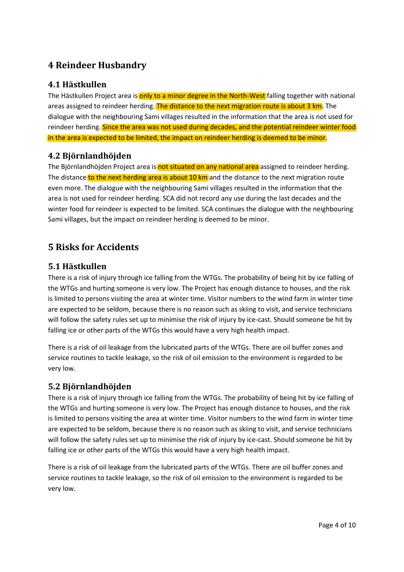## <span id="page-3-0"></span>**4 Reindeer Husbandry**

### <span id="page-3-1"></span>**4.1 Hästkullen**

The Hästkullen Project area is only to a minor degree in the North-West falling together with national areas assigned to reindeer herding. The distance to the next migration route is about 3 km. The dialogue with the neighbouring Sami villages resulted in the information that the area is not used for reindeer herding. Since the area was not used during decades, and the potential reindeer winter food in the area is expected to be limited, the impact on reindeer herding is deemed to be minor.

#### <span id="page-3-2"></span>**4.2 Björnlandhöjden**

The Björnlandhöjden Project area is not situated on any national area assigned to reindeer herding. The distance to the next herding area is about 10 km and the distance to the next migration route even more. The dialogue with the neighbouring Sami villages resulted in the information that the area is not used for reindeer herding. SCA did not record any use during the last decades and the winter food for reindeer is expected to be limited. SCA continues the dialogue with the neighbouring Sami villages, but the impact on reindeer herding is deemed to be minor.

## <span id="page-3-3"></span>**5 Risks for Accidents**

### <span id="page-3-4"></span>**5.1 Hästkullen**

There is a risk of injury through ice falling from the WTGs. The probability of being hit by ice falling of the WTGs and hurting someone is very low. The Project has enough distance to houses, and the risk is limited to persons visiting the area at winter time. Visitor numbers to the wind farm in winter time are expected to be seldom, because there is no reason such as skiing to visit, and service technicians will follow the safety rules set up to minimise the risk of injury by ice-cast. Should someone be hit by falling ice or other parts of the WTGs this would have a very high health impact.

There is a risk of oil leakage from the lubricated parts of the WTGs. There are oil buffer zones and service routines to tackle leakage, so the risk of oil emission to the environment is regarded to be very low.

### <span id="page-3-5"></span>**5.2 Björnlandhöjden**

There is a risk of injury through ice falling from the WTGs. The probability of being hit by ice falling of the WTGs and hurting someone is very low. The Project has enough distance to houses, and the risk is limited to persons visiting the area at winter time. Visitor numbers to the wind farm in winter time are expected to be seldom, because there is no reason such as skiing to visit, and service technicians will follow the safety rules set up to minimise the risk of injury by ice-cast. Should someone be hit by falling ice or other parts of the WTGs this would have a very high health impact.

There is a risk of oil leakage from the lubricated parts of the WTGs. There are oil buffer zones and service routines to tackle leakage, so the risk of oil emission to the environment is regarded to be very low.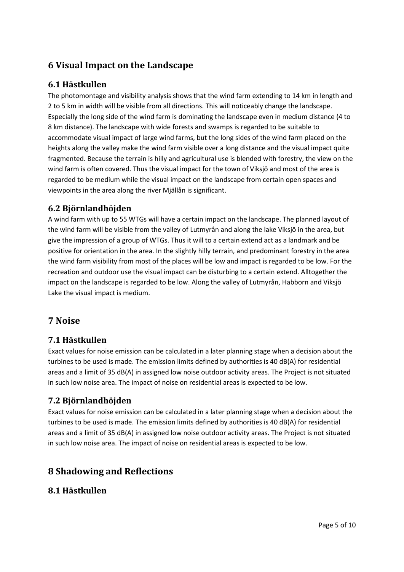## <span id="page-4-0"></span>**6 Visual Impact on the Landscape**

#### <span id="page-4-1"></span>**6.1 Hästkullen**

The photomontage and visibility analysis shows that the wind farm extending to 14 km in length and 2 to 5 km in width will be visible from all directions. This will noticeably change the landscape. Especially the long side of the wind farm is dominating the landscape even in medium distance (4 to 8 km distance). The landscape with wide forests and swamps is regarded to be suitable to accommodate visual impact of large wind farms, but the long sides of the wind farm placed on the heights along the valley make the wind farm visible over a long distance and the visual impact quite fragmented. Because the terrain is hilly and agricultural use is blended with forestry, the view on the wind farm is often covered. Thus the visual impact for the town of Viksjö and most of the area is regarded to be medium while the visual impact on the landscape from certain open spaces and viewpoints in the area along the river Mjällån is significant.

#### <span id="page-4-2"></span>**6.2 Björnlandhöjden**

A wind farm with up to 55 WTGs will have a certain impact on the landscape. The planned layout of the wind farm will be visible from the valley of Lutmyrån and along the lake Viksjö in the area, but give the impression of a group of WTGs. Thus it will to a certain extend act as a landmark and be positive for orientation in the area. In the slightly hilly terrain, and predominant forestry in the area the wind farm visibility from most of the places will be low and impact is regarded to be low. For the recreation and outdoor use the visual impact can be disturbing to a certain extend. Alltogether the impact on the landscape is regarded to be low. Along the valley of Lutmyrån, Habborn and Viksjö Lake the visual impact is medium.

### <span id="page-4-3"></span>**7 Noise**

### <span id="page-4-4"></span>**7.1 Hästkullen**

Exact values for noise emission can be calculated in a later planning stage when a decision about the turbines to be used is made. The emission limits defined by authorities is 40 dB(A) for residential areas and a limit of 35 dB(A) in assigned low noise outdoor activity areas. The Project is not situated in such low noise area. The impact of noise on residential areas is expected to be low.

#### <span id="page-4-5"></span>**7.2 Björnlandhöjden**

Exact values for noise emission can be calculated in a later planning stage when a decision about the turbines to be used is made. The emission limits defined by authorities is 40 dB(A) for residential areas and a limit of 35 dB(A) in assigned low noise outdoor activity areas. The Project is not situated in such low noise area. The impact of noise on residential areas is expected to be low.

## <span id="page-4-6"></span>**8 Shadowing and Reflections**

#### <span id="page-4-7"></span>**8.1 Hästkullen**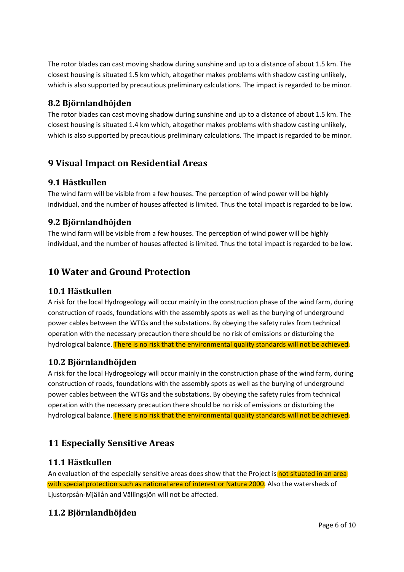The rotor blades can cast moving shadow during sunshine and up to a distance of about 1.5 km. The closest housing is situated 1.5 km which, altogether makes problems with shadow casting unlikely, which is also supported by precautious preliminary calculations. The impact is regarded to be minor.

### <span id="page-5-0"></span>**8.2 Björnlandhöjden**

The rotor blades can cast moving shadow during sunshine and up to a distance of about 1.5 km. The closest housing is situated 1.4 km which, altogether makes problems with shadow casting unlikely, which is also supported by precautious preliminary calculations. The impact is regarded to be minor.

## <span id="page-5-1"></span>**9 Visual Impact on Residential Areas**

### <span id="page-5-2"></span>**9.1 Hästkullen**

The wind farm will be visible from a few houses. The perception of wind power will be highly individual, and the number of houses affected is limited. Thus the total impact is regarded to be low.

### <span id="page-5-3"></span>**9.2 Björnlandhöjden**

The wind farm will be visible from a few houses. The perception of wind power will be highly individual, and the number of houses affected is limited. Thus the total impact is regarded to be low.

## <span id="page-5-4"></span>**10 Water and Ground Protection**

## <span id="page-5-5"></span>**10.1 Hästkullen**

A risk for the local Hydrogeology will occur mainly in the construction phase of the wind farm, during construction of roads, foundations with the assembly spots as well as the burying of underground power cables between the WTGs and the substations. By obeying the safety rules from technical operation with the necessary precaution there should be no risk of emissions or disturbing the hydrological balance. There is no risk that the environmental quality standards will not be achieved.

## <span id="page-5-6"></span>**10.2 Björnlandhöjden**

A risk for the local Hydrogeology will occur mainly in the construction phase of the wind farm, during construction of roads, foundations with the assembly spots as well as the burying of underground power cables between the WTGs and the substations. By obeying the safety rules from technical operation with the necessary precaution there should be no risk of emissions or disturbing the hydrological balance. There is no risk that the environmental quality standards will not be achieved.

## <span id="page-5-7"></span>**11 Especially Sensitive Areas**

### <span id="page-5-8"></span>**11.1 Hästkullen**

An evaluation of the especially sensitive areas does show that the Project is not situated in an area with special protection such as national area of interest or Natura 2000. Also the watersheds of Ljustorpsån-Mjällån and Vällingsjön will not be affected.

## <span id="page-5-9"></span>**11.2 Björnlandhöjden**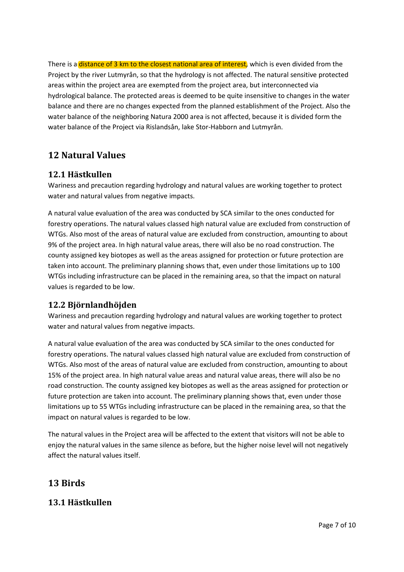There is a distance of 3 km to the closest national area of interest, which is even divided from the Project by the river Lutmyrån, so that the hydrology is not affected. The natural sensitive protected areas within the project area are exempted from the project area, but interconnected via hydrological balance. The protected areas is deemed to be quite insensitive to changes in the water balance and there are no changes expected from the planned establishment of the Project. Also the water balance of the neighboring Natura 2000 area is not affected, because it is divided form the water balance of the Project via Rislandsån, lake Stor-Habborn and Lutmyrån.

## <span id="page-6-0"></span>**12 Natural Values**

### <span id="page-6-1"></span>**12.1 Hästkullen**

Wariness and precaution regarding hydrology and natural values are working together to protect water and natural values from negative impacts.

A natural value evaluation of the area was conducted by SCA similar to the ones conducted for forestry operations. The natural values classed high natural value are excluded from construction of WTGs. Also most of the areas of natural value are excluded from construction, amounting to about 9% of the project area. In high natural value areas, there will also be no road construction. The county assigned key biotopes as well as the areas assigned for protection or future protection are taken into account. The preliminary planning shows that, even under those limitations up to 100 WTGs including infrastructure can be placed in the remaining area, so that the impact on natural values is regarded to be low.

### <span id="page-6-2"></span>**12.2 Björnlandhöjden**

Wariness and precaution regarding hydrology and natural values are working together to protect water and natural values from negative impacts.

A natural value evaluation of the area was conducted by SCA similar to the ones conducted for forestry operations. The natural values classed high natural value are excluded from construction of WTGs. Also most of the areas of natural value are excluded from construction, amounting to about 15% of the project area. In high natural value areas and natural value areas, there will also be no road construction. The county assigned key biotopes as well as the areas assigned for protection or future protection are taken into account. The preliminary planning shows that, even under those limitations up to 55 WTGs including infrastructure can be placed in the remaining area, so that the impact on natural values is regarded to be low.

The natural values in the Project area will be affected to the extent that visitors will not be able to enjoy the natural values in the same silence as before, but the higher noise level will not negatively affect the natural values itself.

## <span id="page-6-3"></span>**13 Birds**

### <span id="page-6-4"></span>**13.1 Hästkullen**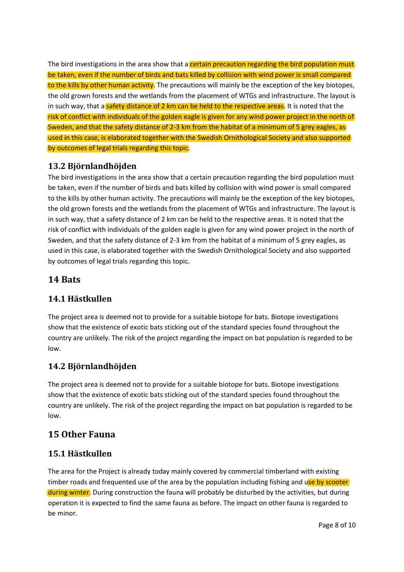The bird investigations in the area show that a certain precaution regarding the bird population must be taken, even if the number of birds and bats killed by collision with wind power is small compared to the kills by other human activity. The precautions will mainly be the exception of the key biotopes, the old grown forests and the wetlands from the placement of WTGs and infrastructure. The layout is in such way, that a safety distance of 2 km can be held to the respective areas. It is noted that the risk of conflict with individuals of the golden eagle is given for any wind power project in the north of Sweden, and that the safety distance of 2-3 km from the habitat of a minimum of 5 grey eagles, as used in this case, is elaborated together with the Swedish Ornithological Society and also supported by outcomes of legal trials regarding this topic.

### <span id="page-7-0"></span>**13.2 Björnlandhöjden**

The bird investigations in the area show that a certain precaution regarding the bird population must be taken, even if the number of birds and bats killed by collision with wind power is small compared to the kills by other human activity. The precautions will mainly be the exception of the key biotopes, the old grown forests and the wetlands from the placement of WTGs and infrastructure. The layout is in such way, that a safety distance of 2 km can be held to the respective areas. It is noted that the risk of conflict with individuals of the golden eagle is given for any wind power project in the north of Sweden, and that the safety distance of 2-3 km from the habitat of a minimum of 5 grey eagles, as used in this case, is elaborated together with the Swedish Ornithological Society and also supported by outcomes of legal trials regarding this topic.

## **14 Bats**

## **14.1 Hästkullen**

The project area is deemed not to provide for a suitable biotope for bats. Biotope investigations show that the existence of exotic bats sticking out of the standard species found throughout the country are unlikely. The risk of the project regarding the impact on bat population is regarded to be low.

## **14.2 Björnlandhöjden**

The project area is deemed not to provide for a suitable biotope for bats. Biotope investigations show that the existence of exotic bats sticking out of the standard species found throughout the country are unlikely. The risk of the project regarding the impact on bat population is regarded to be low.

## **15 Other Fauna**

## **15.1 Hästkullen**

The area for the Project is already today mainly covered by commercial timberland with existing timber roads and frequented use of the area by the population including fishing and use by scooter during winter. During construction the fauna will probably be disturbed by the activities, but during operation it is expected to find the same fauna as before. The impact on other fauna is regarded to be minor.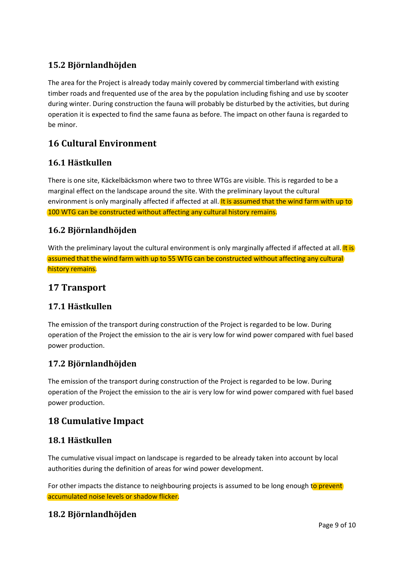## **15.2 Björnlandhöjden**

The area for the Project is already today mainly covered by commercial timberland with existing timber roads and frequented use of the area by the population including fishing and use by scooter during winter. During construction the fauna will probably be disturbed by the activities, but during operation it is expected to find the same fauna as before. The impact on other fauna is regarded to be minor.

## **16 Cultural Environment**

## **16.1 Hästkullen**

There is one site, Käckelbäcksmon where two to three WTGs are visible. This is regarded to be a marginal effect on the landscape around the site. With the preliminary layout the cultural environment is only marginally affected if affected at all. It is assumed that the wind farm with up to 100 WTG can be constructed without affecting any cultural history remains.

### **16.2 Björnlandhöjden**

With the preliminary layout the cultural environment is only marginally affected if affected at all. It is assumed that the wind farm with up to 55 WTG can be constructed without affecting any cultural history remains.

## **17 Transport**

### **17.1 Hästkullen**

The emission of the transport during construction of the Project is regarded to be low. During operation of the Project the emission to the air is very low for wind power compared with fuel based power production.

### **17.2 Björnlandhöjden**

The emission of the transport during construction of the Project is regarded to be low. During operation of the Project the emission to the air is very low for wind power compared with fuel based power production.

## **18 Cumulative Impact**

### **18.1 Hästkullen**

The cumulative visual impact on landscape is regarded to be already taken into account by local authorities during the definition of areas for wind power development.

For other impacts the distance to neighbouring projects is assumed to be long enough to prevent accumulated noise levels or shadow flicker.

### **18.2 Björnlandhöjden**